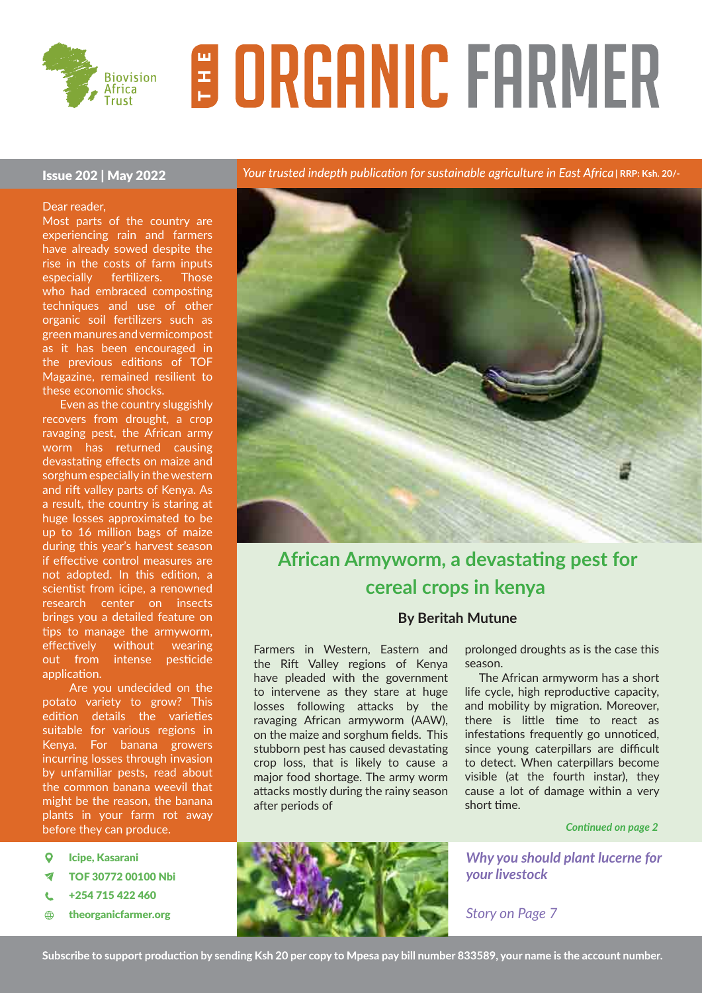

# **E ORGANIC FARMER**

#### Issue 202 | May 2022

Dear reader,

Most parts of the country are experiencing rain and farmers have already sowed despite the rise in the costs of farm inputs especially fertilizers. Those who had embraced composting techniques and use of other organic soil fertilizers such as green manures and vermicompost as it has been encouraged in the previous editions of TOF Magazine, remained resilient to these economic shocks.

 Even as the country sluggishly recovers from drought, a crop ravaging pest, the African army worm has returned causing devastating effects on maize and sorghum especially in the western and rift valley parts of Kenya. As a result, the country is staring at huge losses approximated to be up to 16 million bags of maize during this year's harvest season if effective control measures are not adopted. In this edition, a scientist from icipe, a renowned research center on insects brings you a detailed feature on tips to manage the armyworm, effectively without wearing out from intense pesticide application.

 Are you undecided on the potato variety to grow? This edition details the varieties suitable for various regions in Kenya. For banana growers incurring losses through invasion by unfamiliar pests, read about the common banana weevil that might be the reason, the banana plants in your farm rot away before they can produce.

- $\overline{Q}$ Icipe, Kasarani
- TOF 30772 00100 Nbi ᢦ
- +254 715 422 460 Ċ
- $\bigoplus$ theorganicfarmer.org

Your trusted indepth publication for sustainable agriculture in East Africa | RRP: Ksh. 20/-



# **African Armyworm, a devastating pest for cereal crops in kenya**

#### **By Beritah Mutune**

Farmers in Western, Eastern and the Rift Valley regions of Kenya have pleaded with the government to intervene as they stare at huge losses following attacks by the ravaging African armyworm (AAW), on the maize and sorghum fields. This stubborn pest has caused devastating crop loss, that is likely to cause a major food shortage. The army worm attacks mostly during the rainy season after periods of

prolonged droughts as is the case this season.

 The African armyworm has a short life cycle, high reproductive capacity, and mobility by migration. Moreover, there is little time to react as infestations frequently go unnoticed, since young caterpillars are difficult to detect. When caterpillars become visible (at the fourth instar), they cause a lot of damage within a very short time.

#### *Continued on page 2*

*Why you should plant lucerne for your livestock*

*Story on Page 7*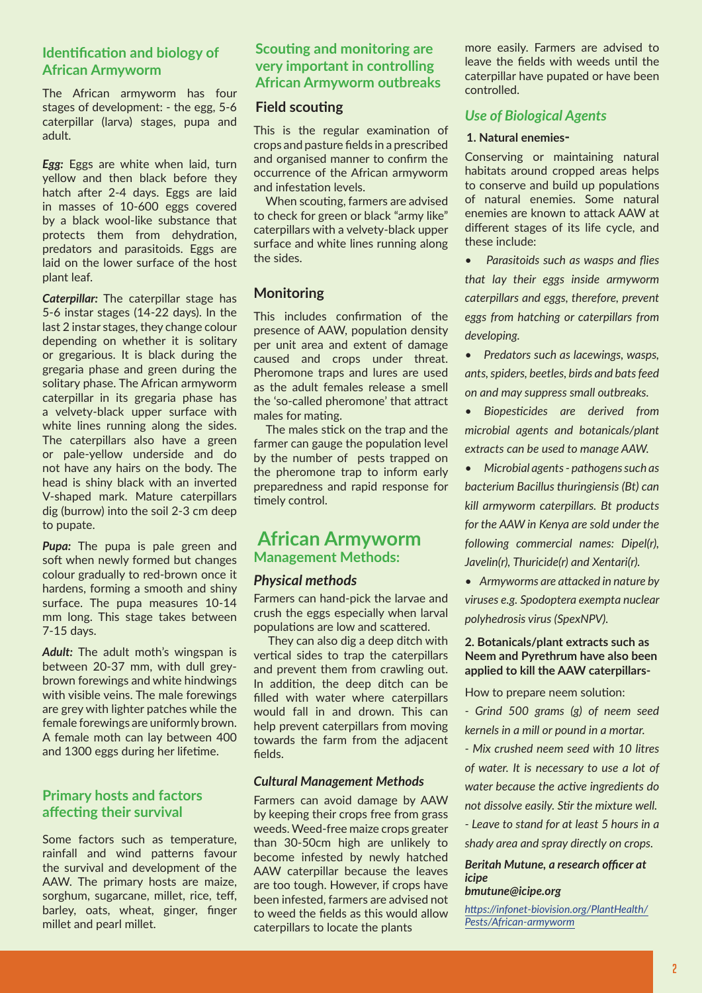# **Identification and biology of African Armyworm**

The African armyworm has four stages of development: - the egg, 5-6 caterpillar (larva) stages, pupa and adult.

*Egg:* Eggs are white when laid, turn yellow and then black before they hatch after 2-4 days. Eggs are laid in masses of 10-600 eggs covered by a black wool-like substance that protects them from dehydration, predators and parasitoids. Eggs are laid on the lower surface of the host plant leaf.

*Caterpillar:* The caterpillar stage has 5-6 instar stages (14-22 days). In the last 2 instar stages, they change colour depending on whether it is solitary or gregarious. It is black during the gregaria phase and green during the solitary phase. The African armyworm caterpillar in its gregaria phase has a velvety-black upper surface with white lines running along the sides. The caterpillars also have a green or pale-yellow underside and do not have any hairs on the body. The head is shiny black with an inverted V-shaped mark. Mature caterpillars dig (burrow) into the soil 2-3 cm deep to pupate.

**Pupa:** The pupa is pale green and soft when newly formed but changes colour gradually to red-brown once it hardens, forming a smooth and shiny surface. The pupa measures 10-14 mm long. This stage takes between 7-15 days.

*Adult:* The adult moth's wingspan is between 20-37 mm, with dull greybrown forewings and white hindwings with visible veins. The male forewings are grey with lighter patches while the female forewings are uniformly brown. A female moth can lay between 400 and 1300 eggs during her lifetime.

#### **Primary hosts and factors affecting their survival**

Some factors such as temperature, rainfall and wind patterns favour the survival and development of the AAW. The primary hosts are maize, sorghum, sugarcane, millet, rice, teff, barley, oats, wheat, ginger, finger millet and pearl millet.

#### **Scouting and monitoring are very important in controlling African Armyworm outbreaks**

#### **Field scouting**

This is the regular examination of crops and pasture fields in a prescribed and organised manner to confirm the occurrence of the African armyworm and infestation levels.

 When scouting, farmers are advised to check for green or black "army like" caterpillars with a velvety-black upper surface and white lines running along the sides.

#### **Monitoring**

This includes confirmation of the presence of AAW, population density per unit area and extent of damage caused and crops under threat. Pheromone traps and lures are used as the adult females release a smell the 'so-called pheromone' that attract males for mating.

 The males stick on the trap and the farmer can gauge the population level by the number of pests trapped on the pheromone trap to inform early preparedness and rapid response for timely control.

#### **African Armyworm Management Methods:**

#### *Physical methods*

Farmers can hand-pick the larvae and crush the eggs especially when larval populations are low and scattered.

 They can also dig a deep ditch with vertical sides to trap the caterpillars and prevent them from crawling out. In addition, the deep ditch can be filled with water where caterpillars would fall in and drown. This can help prevent caterpillars from moving towards the farm from the adjacent fields.

#### *Cultural Management Methods*

Farmers can avoid damage by AAW by keeping their crops free from grass weeds. Weed-free maize crops greater than 30-50cm high are unlikely to become infested by newly hatched AAW caterpillar because the leaves are too tough. However, if crops have been infested, farmers are advised not to weed the fields as this would allow caterpillars to locate the plants

more easily. Farmers are advised to leave the fields with weeds until the caterpillar have pupated or have been controlled.

#### *Use of Biological Agents*

#### **1. Natural enemies-**

Conserving or maintaining natural habitats around cropped areas helps to conserve and build up populations of natural enemies. Some natural enemies are known to attack AAW at different stages of its life cycle, and these include:

*• Parasitoids such as wasps and flies that lay their eggs inside armyworm caterpillars and eggs, therefore, prevent eggs from hatching or caterpillars from developing.*

*• Predators such as lacewings, wasps, ants, spiders, beetles, birds and bats feed on and may suppress small outbreaks.*

*• Biopesticides are derived from microbial agents and botanicals/plant extracts can be used to manage AAW.* 

*• Microbial agents - pathogens such as bacterium Bacillus thuringiensis (Bt) can kill armyworm caterpillars. Bt products for the AAW in Kenya are sold under the following commercial names: Dipel(r), Javelin(r), Thuricide(r) and Xentari(r).*

*• Armyworms are attacked in nature by* 

*viruses e.g. Spodoptera exempta nuclear polyhedrosis virus (SpexNPV).* 

#### **2. Botanicals/plant extracts such as Neem and Pyrethrum have also been applied to kill the AAW caterpillars-**

How to prepare neem solution:

*- Grind 500 grams (g) of neem seed kernels in a mill or pound in a mortar.*

*- Mix crushed neem seed with 10 litres of water. It is necessary to use a lot of water because the active ingredients do not dissolve easily. Stir the mixture well. - Leave to stand for at least 5 hours in a shady area and spray directly on crops.*

#### *Beritah Mutune, a research officer at icipe*

#### *bmutune@icipe.org*

*https://infonet-biovision.org/PlantHealth/ Pests/African-armyworm*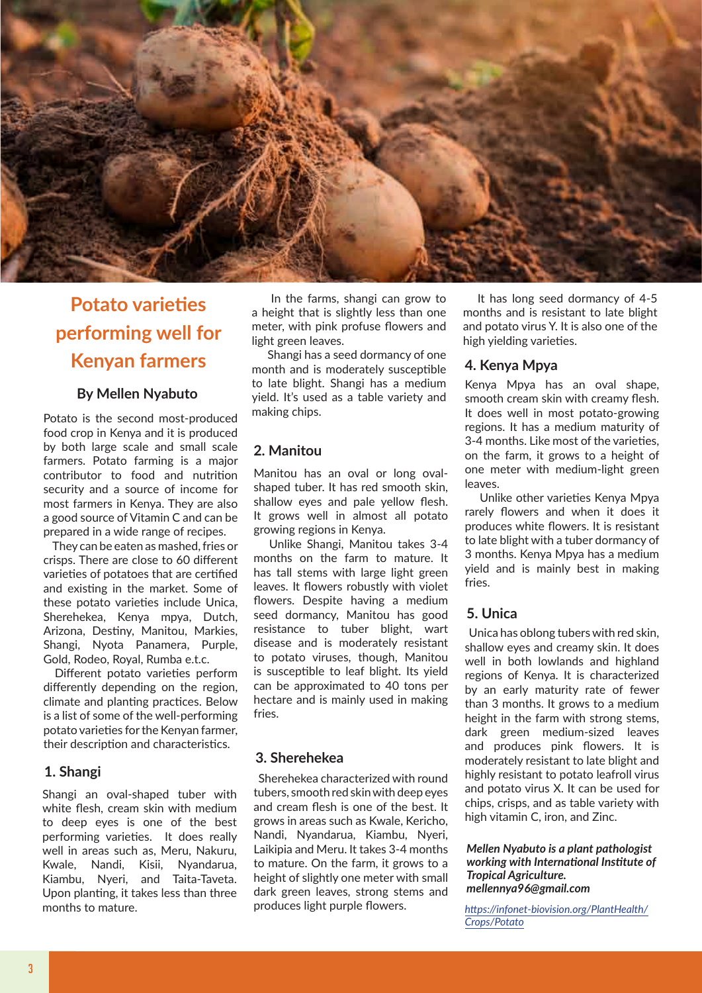

## **Potato varieties performing well for Kenyan farmers**

#### **By Mellen Nyabuto**

Potato is the second most-produced food crop in Kenya and it is produced by both large scale and small scale farmers. Potato farming is a major contributor to food and nutrition security and a source of income for most farmers in Kenya. They are also a good source of Vitamin C and can be prepared in a wide range of recipes.

 They can be eaten as mashed, fries or crisps. There are close to 60 different varieties of potatoes that are certified and existing in the market. Some of these potato varieties include Unica, Sherehekea, Kenya mpya, Dutch, Arizona, Destiny, Manitou, Markies, Shangi, Nyota Panamera, Purple, Gold, Rodeo, Royal, Rumba e.t.c.

 Different potato varieties perform differently depending on the region, climate and planting practices. Below is a list of some of the well-performing potato varieties for the Kenyan farmer, their description and characteristics.

#### **1. Shangi**

Shangi an oval-shaped tuber with white flesh, cream skin with medium to deep eyes is one of the best performing varieties. It does really well in areas such as, Meru, Nakuru, Kwale, Nandi, Kisii, Nyandarua, Kiambu, Nyeri, and Taita-Taveta. Upon planting, it takes less than three months to mature.

 In the farms, shangi can grow to a height that is slightly less than one meter, with pink profuse flowers and light green leaves.

 Shangi has a seed dormancy of one month and is moderately susceptible to late blight. Shangi has a medium yield. It's used as a table variety and making chips.

#### **2. Manitou**

Manitou has an oval or long ovalshaped tuber. It has red smooth skin, shallow eyes and pale yellow flesh. It grows well in almost all potato growing regions in Kenya.

 Unlike Shangi, Manitou takes 3-4 months on the farm to mature. It has tall stems with large light green leaves. It flowers robustly with violet flowers. Despite having a medium seed dormancy, Manitou has good resistance to tuber blight, wart disease and is moderately resistant to potato viruses, though, Manitou is susceptible to leaf blight. Its yield can be approximated to 40 tons per hectare and is mainly used in making fries.

#### **3. Sherehekea**

 Sherehekea characterized with round tubers, smooth red skin with deep eyes and cream flesh is one of the best. It grows in areas such as Kwale, Kericho, Nandi, Nyandarua, Kiambu, Nyeri, Laikipia and Meru. It takes 3-4 months to mature. On the farm, it grows to a height of slightly one meter with small dark green leaves, strong stems and produces light purple flowers.

 It has long seed dormancy of 4-5 months and is resistant to late blight and potato virus Y. It is also one of the high yielding varieties.

#### **4. Kenya Mpya**

Kenya Mpya has an oval shape, smooth cream skin with creamy flesh. It does well in most potato-growing regions. It has a medium maturity of 3-4 months. Like most of the varieties, on the farm, it grows to a height of one meter with medium-light green leaves.

 Unlike other varieties Kenya Mpya rarely flowers and when it does it produces white flowers. It is resistant to late blight with a tuber dormancy of 3 months. Kenya Mpya has a medium yield and is mainly best in making fries.

#### **5. Unica**

 Unica has oblong tubers with red skin, shallow eyes and creamy skin. It does well in both lowlands and highland regions of Kenya. It is characterized by an early maturity rate of fewer than 3 months. It grows to a medium height in the farm with strong stems, dark green medium-sized leaves and produces pink flowers. It is moderately resistant to late blight and highly resistant to potato leafroll virus and potato virus X. It can be used for chips, crisps, and as table variety with high vitamin C, iron, and Zinc.

*Mellen Nyabuto is a plant pathologist working with International Institute of Tropical Agriculture. mellennya96@gmail.com*

*https://infonet-biovision.org/PlantHealth/ Crops/Potato*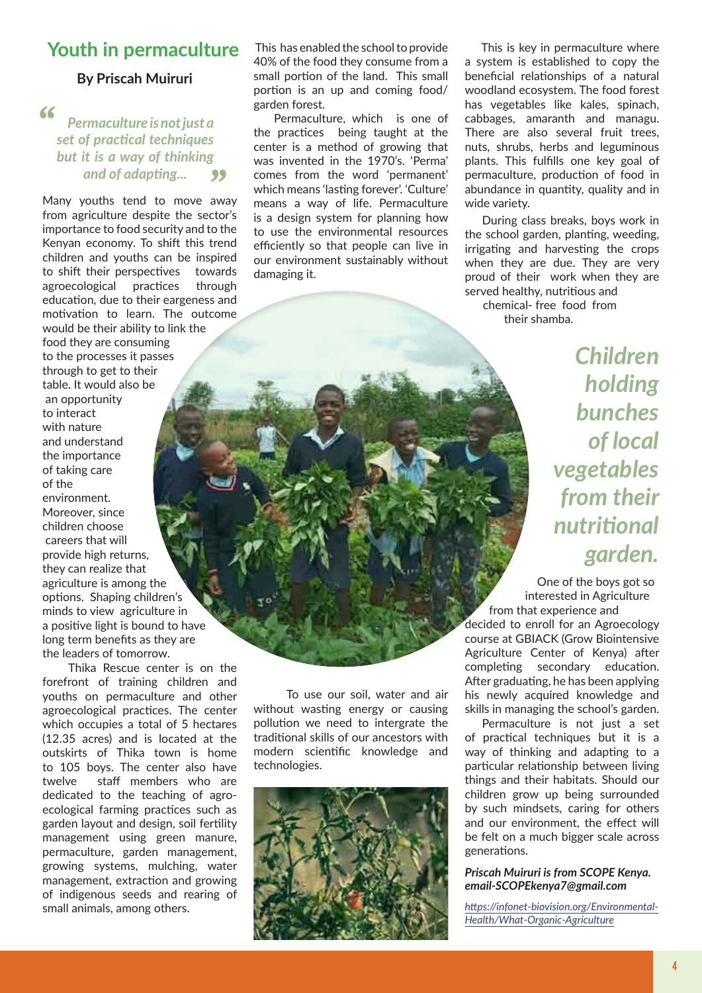### Youth in permaculture This has enabled the school to provide

#### **By Priscah Muiruri**

**"**

#### *Permaculture is not just a set of practical techniques but it is a way of thinking and of adapting...* **"**

Many youths tend to move away from agriculture despite the sector's importance to food security and to the Kenyan economy. To shift this trend children and youths can be inspired to shift their perspectives towards agroecological practices through education, due to their eargeness and motivation to learn. The outcome would be their ability to link the food they are consuming to the processes it passes through to get to their table. It would also be an opportunity to interact with nature and understand the importance of taking care of the environment. Moreover, since children choose careers that will provide high returns, they can realize that agriculture is among the options. Shaping children's minds to view agriculture in a positive light is bound to have long term benefits as they are the leaders of tomorrow.

 Thika Rescue center is on the forefront of training children and youths on permaculture and other agroecological practices. The center which occupies a total of 5 hectares (12.35 acres) and is located at the outskirts of Thika town is home to 105 boys. The center also have twelve staff members who are dedicated to the teaching of agroecological farming practices such as garden layout and design, soil fertility management using green manure, permaculture, garden management, growing systems, mulching, water management, extraction and growing of indigenous seeds and rearing of small animals, among others.

40% of the food they consume from a small portion of the land. This small portion is an up and coming food/ garden forest.

 Permaculture, which is one of the practices being taught at the center is a method of growing that was invented in the 1970's. 'Perma' comes from the word 'permanent' which means 'lasting forever'. 'Culture' means a way of life. Permaculture is a design system for planning how to use the environmental resources efficiently so that people can live in our environment sustainably without damaging it.

 This is key in permaculture where a system is established to copy the beneficial relationships of a natural woodland ecosystem. The food forest has vegetables like kales, spinach, cabbages, amaranth and managu. There are also several fruit trees, nuts, shrubs, herbs and leguminous plants. This fulfills one key goal of permaculture, production of food in abundance in quantity, quality and in wide variety.

 During class breaks, boys work in the school garden, planting, weeding, irrigating and harvesting the crops when they are due. They are very proud of their work when they are served healthy, nutritious and chemical- free food from their shamba.

> *Children holding bunches of local vegetables from their nutritional garden.*

 One of the boys got so interested in Agriculture from that experience and

decided to enroll for an Agroecology course at GBIACK (Grow Biointensive Agriculture Center of Kenya) after completing secondary education. After graduating, he has been applying his newly acquired knowledge and skills in managing the school's garden.

 Permaculture is not just a set of practical techniques but it is a way of thinking and adapting to a particular relationship between living things and their habitats. Should our children grow up being surrounded by such mindsets, caring for others and our environment, the effect will be felt on a much bigger scale across generations.

#### *Priscah Muiruri is from SCOPE Kenya. email-SCOPEkenya7@gmail.com*

*https://infonet-biovision.org/Environmental-Health/What-Organic-Agriculture*

 To use our soil, water and air without wasting energy or causing pollution we need to intergrate the traditional skills of our ancestors with modern scientific knowledge and technologies.

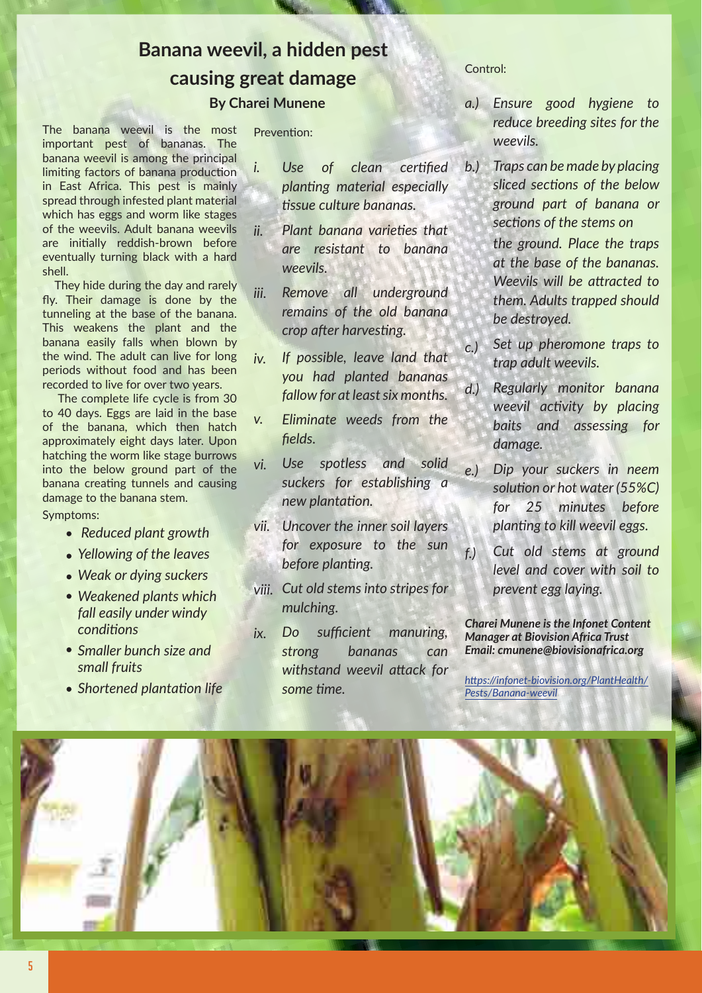# **Banana weevil, a hidden pest causing great damage**

#### **By Charei Munene**

The banana weevil is the most important pest of bananas. The banana weevil is among the principal limiting factors of banana production in East Africa. This pest is mainly spread through infested plant material which has eggs and worm like stages of the weevils. Adult banana weevils are initially reddish-brown before eventually turning black with a hard shell.

 They hide during the day and rarely fly. Their damage is done by the tunneling at the base of the banana. This weakens the plant and the banana easily falls when blown by the wind. The adult can live for long periods without food and has been recorded to live for over two years.

 The complete life cycle is from 30 to 40 days. Eggs are laid in the base of the banana, which then hatch approximately eight days later. Upon hatching the worm like stage burrows into the below ground part of the banana creating tunnels and causing damage to the banana stem. Symptoms:

- *Reduced plant growth*
- *Yellowing of the leaves*
- *Weak or dying suckers*
- *Weakened plants which fall easily under windy conditions*
- *Smaller bunch size and small fruits*
- 

Prevention:

- *Use of clean certified planting material especially tissue culture bananas. i.*
- *Plant banana varieties that are resistant to banana weevils. ii.*
- *Remove all underground remains of the old banana crop after harvesting. iii.*
- *If possible, leave land that you had planted bananas fallow for at least six months. iv.*
- *Eliminate weeds from the fields. v.*
- *Use spotless and solid suckers for establishing a new plantation. vi.*
- *Uncover the inner soil layers vii. for exposure to the sun before planting.*
- *Cut old stems into stripes for viii. mulching.*
- *Do sufficient manuring, strong bananas can withstand weevil attack for some time. ix.* **Shortened plantation life** *some time. https://infonet-biovision.org/PlantHealth/*<br>*Pasts/Banana-wagvil*

Control:

- *Ensure good hygiene to a.) reduce breeding sites for the weevils.*
- *the ground. Place the traps at the base of the bananas. Weevils will be attracted to them. Adults trapped should be destroyed. Traps can be made by placing sliced sections of the below ground part of banana or sections of the stems on b.)*
- *Set up pheromone traps to trap adult weevils. c.)*
- *Regularly monitor banana weevil activity by placing baits and assessing for damage. d.)*
- *Dip your suckers in neem solution or hot water (55%C) for 25 minutes before planting to kill weevil eggs. e.)*
- *Cut old stems at ground level and cover with soil to prevent egg laying. f.)*

*Charei Munene is the Infonet Content Manager at Biovision Africa Trust Email: cmunene@biovisionafrica.org*

*Pests/Banana-weevil*

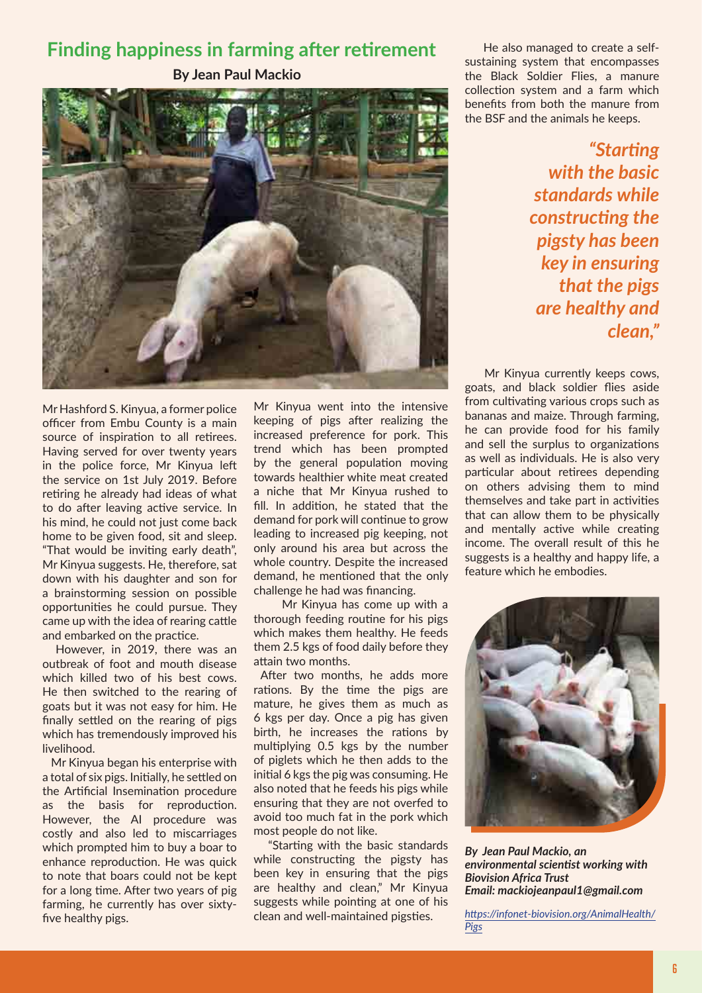## **Finding happiness in farming after retirement**

**By Jean Paul Mackio**



Mr Hashford S. Kinyua, a former police officer from Embu County is a main source of inspiration to all retirees. Having served for over twenty years in the police force, Mr Kinyua left the service on 1st July 2019. Before retiring he already had ideas of what to do after leaving active service. In his mind, he could not just come back home to be given food, sit and sleep. "That would be inviting early death", Mr Kinyua suggests. He, therefore, sat down with his daughter and son for a brainstorming session on possible opportunities he could pursue. They came up with the idea of rearing cattle and embarked on the practice.

 However, in 2019, there was an outbreak of foot and mouth disease which killed two of his best cows. He then switched to the rearing of goats but it was not easy for him. He finally settled on the rearing of pigs which has tremendously improved his livelihood.

 Mr Kinyua began his enterprise with a total of six pigs. Initially, he settled on the Artificial Insemination procedure as the basis for reproduction. However, the AI procedure was costly and also led to miscarriages which prompted him to buy a boar to enhance reproduction. He was quick to note that boars could not be kept for a long time. After two years of pig farming, he currently has over sixtyfive healthy pigs.

Mr Kinyua went into the intensive keeping of pigs after realizing the increased preference for pork. This trend which has been prompted by the general population moving towards healthier white meat created a niche that Mr Kinyua rushed to fill. In addition, he stated that the demand for pork will continue to grow leading to increased pig keeping, not only around his area but across the whole country. Despite the increased demand, he mentioned that the only challenge he had was financing.

 Mr Kinyua has come up with a thorough feeding routine for his pigs which makes them healthy. He feeds them 2.5 kgs of food daily before they attain two months.

 After two months, he adds more rations. By the time the pigs are mature, he gives them as much as 6 kgs per day. Once a pig has given birth, he increases the rations by multiplying 0.5 kgs by the number of piglets which he then adds to the initial 6 kgs the pig was consuming. He also noted that he feeds his pigs while ensuring that they are not overfed to avoid too much fat in the pork which most people do not like.

 "Starting with the basic standards while constructing the pigsty has been key in ensuring that the pigs are healthy and clean," Mr Kinyua suggests while pointing at one of his clean and well-maintained pigsties.

 He also managed to create a selfsustaining system that encompasses the Black Soldier Flies, a manure collection system and a farm which benefits from both the manure from the BSF and the animals he keeps.

> *"Starting with the basic standards while constructing the pigsty has been key in ensuring that the pigs are healthy and clean,"*

 Mr Kinyua currently keeps cows, goats, and black soldier flies aside from cultivating various crops such as bananas and maize. Through farming, he can provide food for his family and sell the surplus to organizations as well as individuals. He is also very particular about retirees depending on others advising them to mind themselves and take part in activities that can allow them to be physically and mentally active while creating income. The overall result of this he suggests is a healthy and happy life, a feature which he embodies.



*By Jean Paul Mackio, an environmental scientist working with Biovision Africa Trust Email: mackiojeanpaul1@gmail.com*

*https://infonet-biovision.org/AnimalHealth/ Pigs*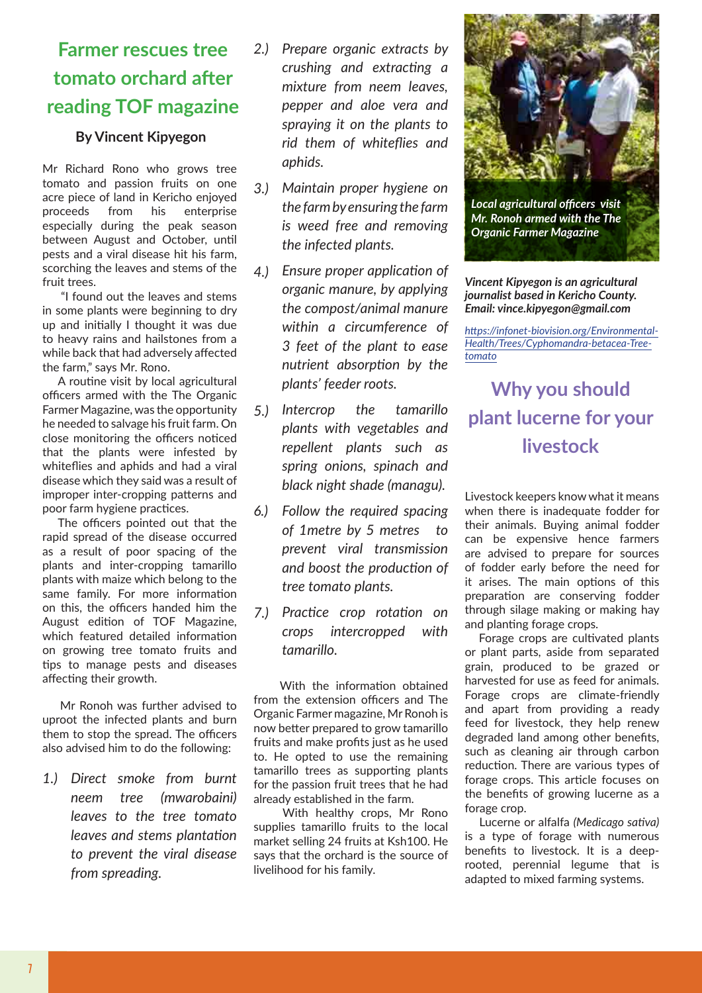# **Farmer rescues tree tomato orchard after reading TOF magazine**

#### **By Vincent Kipyegon**

Mr Richard Rono who grows tree tomato and passion fruits on one acre piece of land in Kericho enjoyed proceeds from his enterprise especially during the peak season between August and October, until pests and a viral disease hit his farm, scorching the leaves and stems of the fruit trees.

 "I found out the leaves and stems in some plants were beginning to dry up and initially I thought it was due to heavy rains and hailstones from a while back that had adversely affected the farm," says Mr. Rono.

 A routine visit by local agricultural officers armed with the The Organic Farmer Magazine, was the opportunity he needed to salvage his fruit farm. On close monitoring the officers noticed that the plants were infested by whiteflies and aphids and had a viral disease which they said was a result of improper inter-cropping patterns and poor farm hygiene practices.

 The officers pointed out that the rapid spread of the disease occurred as a result of poor spacing of the plants and inter-cropping tamarillo plants with maize which belong to the same family. For more information on this, the officers handed him the August edition of TOF Magazine, which featured detailed information on growing tree tomato fruits and tips to manage pests and diseases affecting their growth.

 Mr Ronoh was further advised to uproot the infected plants and burn them to stop the spread. The officers also advised him to do the following:

*Direct smoke from burnt 1.) neem tree (mwarobaini) leaves to the tree tomato leaves and stems plantation to prevent the viral disease from spreading.*

- *Prepare organic extracts by 2.) crushing and extracting a mixture from neem leaves, pepper and aloe vera and spraying it on the plants to rid them of whiteflies and aphids.*
- *Maintain proper hygiene on 3.) the farm by ensuring the farm is weed free and removing the infected plants.*
- *Ensure proper application of 4.) organic manure, by applying the compost/animal manure within a circumference of 3 feet of the plant to ease nutrient absorption by the plants' feeder roots.*
- *Intercrop the tamarillo 5.) plants with vegetables and repellent plants such as spring onions, spinach and black night shade (managu).*
- *Follow the required spacing 6.) of 1metre by 5 metres to prevent viral transmission and boost the production of tree tomato plants.*
- *Practice crop rotation on 7.) crops intercropped with tamarillo.*

 With the information obtained from the extension officers and The Organic Farmer magazine, Mr Ronoh is now better prepared to grow tamarillo fruits and make profits just as he used to. He opted to use the remaining tamarillo trees as supporting plants for the passion fruit trees that he had already established in the farm.

 With healthy crops, Mr Rono supplies tamarillo fruits to the local market selling 24 fruits at Ksh100. He says that the orchard is the source of livelihood for his family.



*Vincent Kipyegon is an agricultural journalist based in Kericho County. Email: vince.kipyegon@gmail.com*

*https://infonet-biovision.org/Environmental-Health/Trees/Cyphomandra-betacea-Treetomato*

# **Why you should plant lucerne for your livestock**

Livestock keepers know what it means when there is inadequate fodder for their animals. Buying animal fodder can be expensive hence farmers are advised to prepare for sources of fodder early before the need for it arises. The main options of this preparation are conserving fodder through silage making or making hay and planting forage crops.

 Forage crops are cultivated plants or plant parts, aside from separated grain, produced to be grazed or harvested for use as feed for animals. Forage crops are climate-friendly and apart from providing a ready feed for livestock, they help renew degraded land among other benefits, such as cleaning air through carbon reduction. There are various types of forage crops. This article focuses on the benefits of growing lucerne as a forage crop.

 Lucerne or alfalfa *(Medicago sativa)*  is a type of forage with numerous benefits to livestock. It is a deeprooted, perennial legume that is adapted to mixed farming systems.